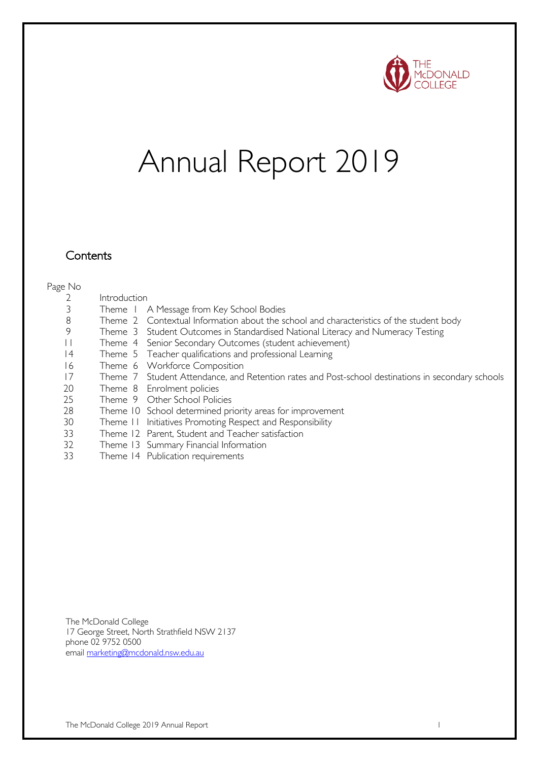

# Annual Report 2019

#### **Contents**

#### Page No

- Introduction
- Theme 1 A Message from Key School Bodies
- Theme 2 Contextual Information about the school and characteristics of the student body
- Theme 3 Student Outcomes in Standardised National Literacy and Numeracy Testing
- Theme 4 Senior Secondary Outcomes (student achievement)
- Theme 5 Teacher qualifications and professional Learning
- Theme 6 Workforce Composition
- Theme 7 Student Attendance, and Retention rates and Post-school destinations in secondary schools
- 20 Theme 8 Enrolment policies
- Theme 9 Other School Policies
- Theme 10 School determined priority areas for improvement
- Theme 11 Initiatives Promoting Respect and Responsibility
- Theme 12 Parent, Student and Teacher satisfaction
- Theme 13 Summary Financial Information
- Theme 14 Publication requirements

The McDonald College 17 George Street, North Strathfield NSW 2137 phone 02 9752 0500 email marketing@mcdonald.nsw.edu.au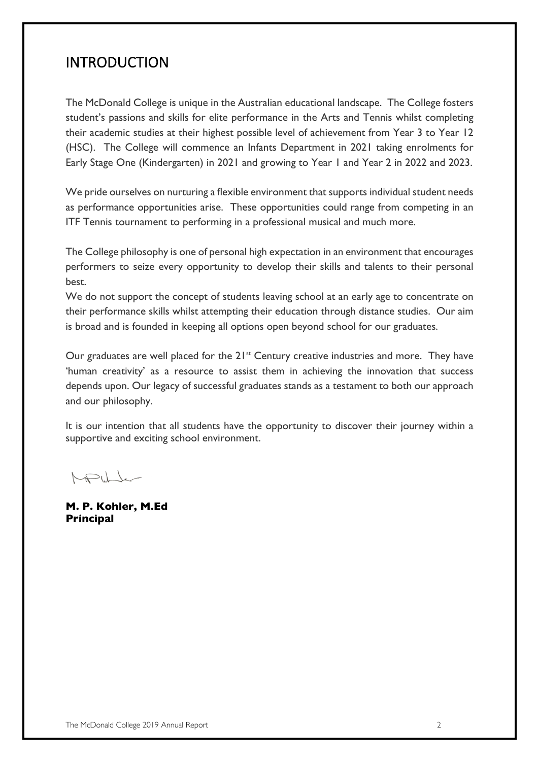### INTRODUCTION

The McDonald College is unique in the Australian educational landscape. The College fosters student's passions and skills for elite performance in the Arts and Tennis whilst completing their academic studies at their highest possible level of achievement from Year 3 to Year 12 (HSC). The College will commence an Infants Department in 2021 taking enrolments for Early Stage One (Kindergarten) in 2021 and growing to Year 1 and Year 2 in 2022 and 2023.

We pride ourselves on nurturing a flexible environment that supports individual student needs as performance opportunities arise. These opportunities could range from competing in an ITF Tennis tournament to performing in a professional musical and much more.

The College philosophy is one of personal high expectation in an environment that encourages performers to seize every opportunity to develop their skills and talents to their personal best.

We do not support the concept of students leaving school at an early age to concentrate on their performance skills whilst attempting their education through distance studies. Our aim is broad and is founded in keeping all options open beyond school for our graduates.

Our graduates are well placed for the  $21<sup>st</sup>$  Century creative industries and more. They have 'human creativity' as a resource to assist them in achieving the innovation that success depends upon. Our legacy of successful graduates stands as a testament to both our approach and our philosophy.

It is our intention that all students have the opportunity to discover their journey within a supportive and exciting school environment.

MPULL

**M. P. Kohler, M.Ed Principal**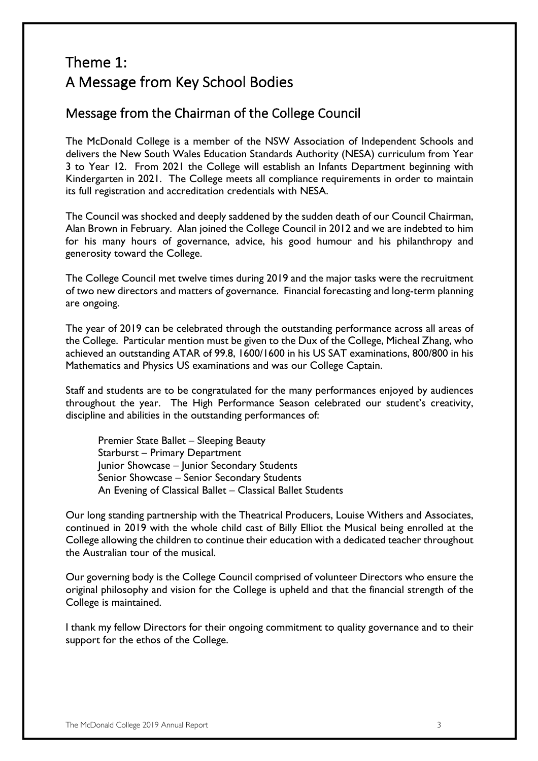### Theme 1: A Message from Key School Bodies

### Message from the Chairman of the College Council

The McDonald College is a member of the NSW Association of Independent Schools and delivers the New South Wales Education Standards Authority (NESA) curriculum from Year 3 to Year 12. From 2021 the College will establish an Infants Department beginning with Kindergarten in 2021. The College meets all compliance requirements in order to maintain its full registration and accreditation credentials with NESA.

The Council was shocked and deeply saddened by the sudden death of our Council Chairman, Alan Brown in February. Alan joined the College Council in 2012 and we are indebted to him for his many hours of governance, advice, his good humour and his philanthropy and generosity toward the College.

The College Council met twelve times during 2019 and the major tasks were the recruitment of two new directors and matters of governance. Financial forecasting and long-term planning are ongoing.

The year of 2019 can be celebrated through the outstanding performance across all areas of the College. Particular mention must be given to the Dux of the College, Micheal Zhang, who achieved an outstanding ATAR of 99.8, 1600/1600 in his US SAT examinations, 800/800 in his Mathematics and Physics US examinations and was our College Captain.

Staff and students are to be congratulated for the many performances enjoyed by audiences throughout the year. The High Performance Season celebrated our student's creativity, discipline and abilities in the outstanding performances of:

Premier State Ballet – Sleeping Beauty Starburst – Primary Department Junior Showcase – Junior Secondary Students Senior Showcase – Senior Secondary Students An Evening of Classical Ballet – Classical Ballet Students

Our long standing partnership with the Theatrical Producers, Louise Withers and Associates, continued in 2019 with the whole child cast of Billy Elliot the Musical being enrolled at the College allowing the children to continue their education with a dedicated teacher throughout the Australian tour of the musical.

Our governing body is the College Council comprised of volunteer Directors who ensure the original philosophy and vision for the College is upheld and that the financial strength of the College is maintained.

I thank my fellow Directors for their ongoing commitment to quality governance and to their support for the ethos of the College.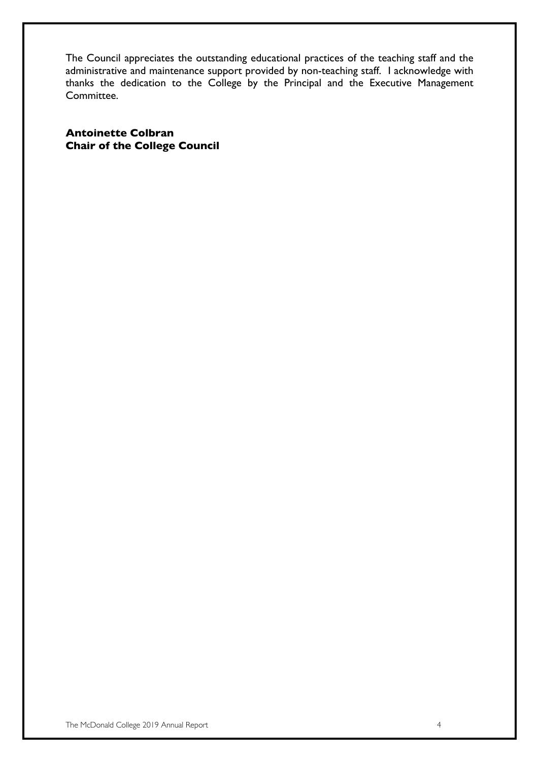The Council appreciates the outstanding educational practices of the teaching staff and the administrative and maintenance support provided by non-teaching staff. I acknowledge with thanks the dedication to the College by the Principal and the Executive Management Committee.

**Antoinette Colbran Chair of the College Council**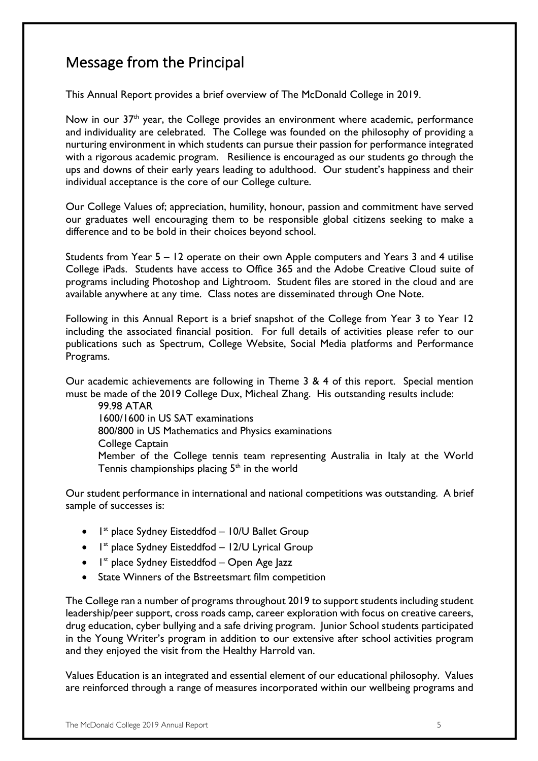### Message from the Principal

This Annual Report provides a brief overview of The McDonald College in 2019.

Now in our  $37<sup>th</sup>$  year, the College provides an environment where academic, performance and individuality are celebrated. The College was founded on the philosophy of providing a nurturing environment in which students can pursue their passion for performance integrated with a rigorous academic program. Resilience is encouraged as our students go through the ups and downs of their early years leading to adulthood. Our student's happiness and their individual acceptance is the core of our College culture.

Our College Values of; appreciation, humility, honour, passion and commitment have served our graduates well encouraging them to be responsible global citizens seeking to make a difference and to be bold in their choices beyond school.

Students from Year 5 – 12 operate on their own Apple computers and Years 3 and 4 utilise College iPads. Students have access to Office 365 and the Adobe Creative Cloud suite of programs including Photoshop and Lightroom. Student files are stored in the cloud and are available anywhere at any time. Class notes are disseminated through One Note.

Following in this Annual Report is a brief snapshot of the College from Year 3 to Year 12 including the associated financial position. For full details of activities please refer to our publications such as Spectrum, College Website, Social Media platforms and Performance Programs.

Our academic achievements are following in Theme 3 & 4 of this report. Special mention must be made of the 2019 College Dux, Micheal Zhang. His outstanding results include:

99.98 ATAR 1600/1600 in US SAT examinations 800/800 in US Mathematics and Physics examinations College Captain Member of the College tennis team representing Australia in Italy at the World Tennis championships placing  $5<sup>th</sup>$  in the world

Our student performance in international and national competitions was outstanding. A brief sample of successes is:

- $\bullet$  1st place Sydney Eisteddfod 10/U Ballet Group
- $\bullet$  1st place Sydney Eisteddfod 12/U Lyrical Group
- $\bullet$  1st place Sydney Eisteddfod Open Age Jazz
- State Winners of the Bstreetsmart film competition

The College ran a number of programs throughout 2019 to support students including student leadership/peer support, cross roads camp, career exploration with focus on creative careers, drug education, cyber bullying and a safe driving program. Junior School students participated in the Young Writer's program in addition to our extensive after school activities program and they enjoyed the visit from the Healthy Harrold van.

Values Education is an integrated and essential element of our educational philosophy. Values are reinforced through a range of measures incorporated within our wellbeing programs and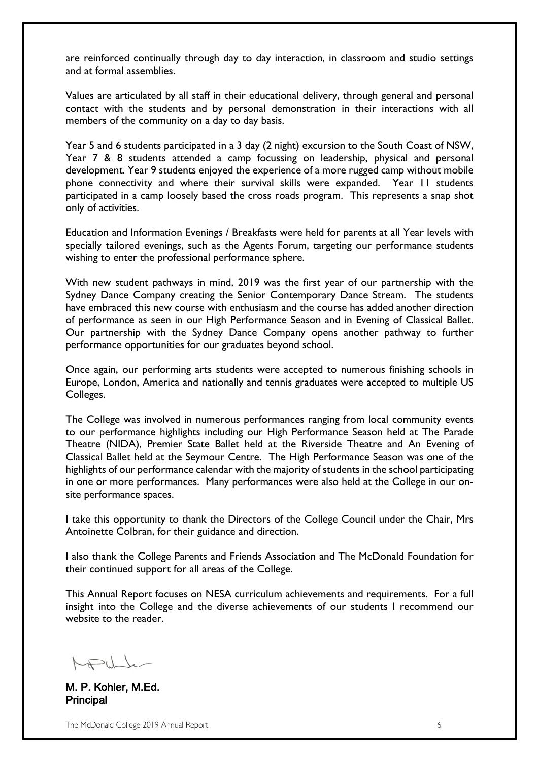are reinforced continually through day to day interaction, in classroom and studio settings and at formal assemblies.

Values are articulated by all staff in their educational delivery, through general and personal contact with the students and by personal demonstration in their interactions with all members of the community on a day to day basis.

Year 5 and 6 students participated in a 3 day (2 night) excursion to the South Coast of NSW, Year 7 & 8 students attended a camp focussing on leadership, physical and personal development. Year 9 students enjoyed the experience of a more rugged camp without mobile phone connectivity and where their survival skills were expanded. Year 11 students participated in a camp loosely based the cross roads program. This represents a snap shot only of activities.

Education and Information Evenings / Breakfasts were held for parents at all Year levels with specially tailored evenings, such as the Agents Forum, targeting our performance students wishing to enter the professional performance sphere.

With new student pathways in mind, 2019 was the first year of our partnership with the Sydney Dance Company creating the Senior Contemporary Dance Stream. The students have embraced this new course with enthusiasm and the course has added another direction of performance as seen in our High Performance Season and in Evening of Classical Ballet. Our partnership with the Sydney Dance Company opens another pathway to further performance opportunities for our graduates beyond school.

Once again, our performing arts students were accepted to numerous finishing schools in Europe, London, America and nationally and tennis graduates were accepted to multiple US Colleges.

The College was involved in numerous performances ranging from local community events to our performance highlights including our High Performance Season held at The Parade Theatre (NIDA), Premier State Ballet held at the Riverside Theatre and An Evening of Classical Ballet held at the Seymour Centre. The High Performance Season was one of the highlights of our performance calendar with the majority of students in the school participating in one or more performances. Many performances were also held at the College in our onsite performance spaces.

I take this opportunity to thank the Directors of the College Council under the Chair, Mrs Antoinette Colbran, for their guidance and direction.

I also thank the College Parents and Friends Association and The McDonald Foundation for their continued support for all areas of the College.

This Annual Report focuses on NESA curriculum achievements and requirements. For a full insight into the College and the diverse achievements of our students I recommend our website to the reader.

 $\bigwedge_{k=1}^{n}$ 

M. P. Kohler, M.Ed. Principal

The McDonald College 2019 Annual Report 6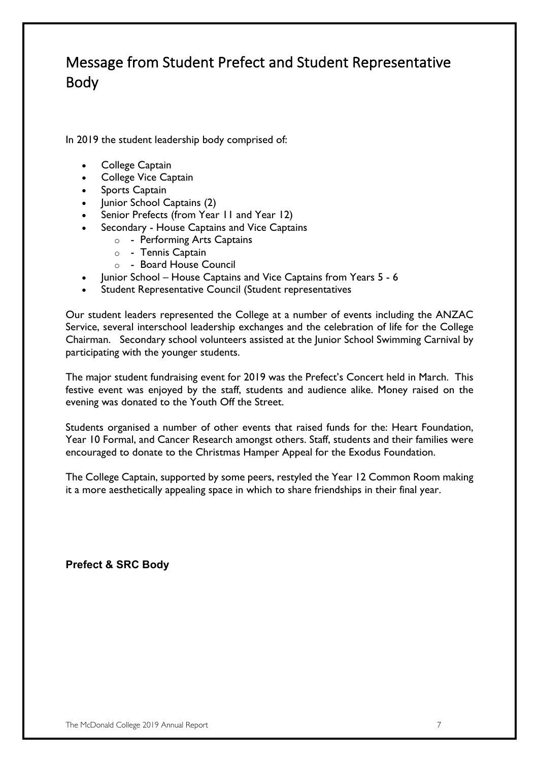### Message from Student Prefect and Student Representative Body

In 2019 the student leadership body comprised of:

- College Captain
- College Vice Captain
- Sports Captain
- Junior School Captains (2)
- Senior Prefects (from Year 11 and Year 12)
- Secondary House Captains and Vice Captains
	- o Performing Arts Captains
	- o Tennis Captain
	- o Board House Council
- Junior School House Captains and Vice Captains from Years 5 6
- Student Representative Council (Student representatives

Our student leaders represented the College at a number of events including the ANZAC Service, several interschool leadership exchanges and the celebration of life for the College Chairman. Secondary school volunteers assisted at the Junior School Swimming Carnival by participating with the younger students.

The major student fundraising event for 2019 was the Prefect's Concert held in March. This festive event was enjoyed by the staff, students and audience alike. Money raised on the evening was donated to the Youth Off the Street.

Students organised a number of other events that raised funds for the: Heart Foundation, Year 10 Formal, and Cancer Research amongst others. Staff, students and their families were encouraged to donate to the Christmas Hamper Appeal for the Exodus Foundation.

The College Captain, supported by some peers, restyled the Year 12 Common Room making it a more aesthetically appealing space in which to share friendships in their final year.

**Prefect & SRC Body**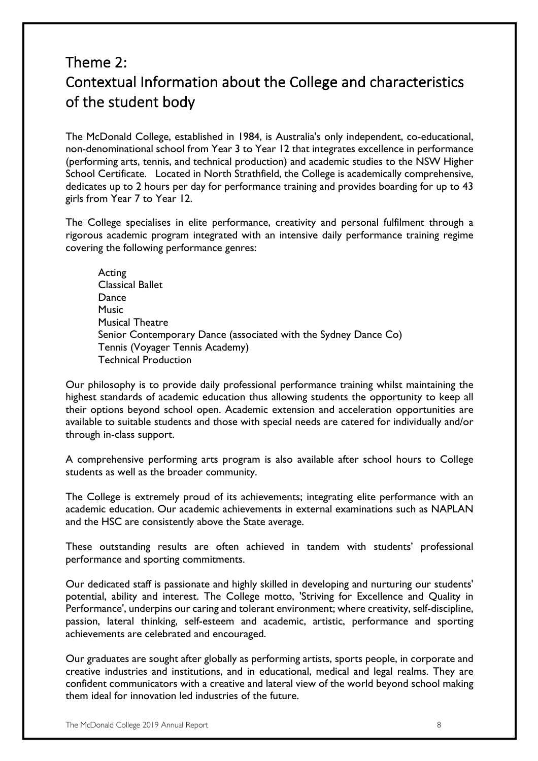### Theme 2: Contextual Information about the College and characteristics of the student body

The McDonald College, established in 1984, is Australia's only independent, co-educational, non-denominational school from Year 3 to Year 12 that integrates excellence in performance (performing arts, tennis, and technical production) and academic studies to the NSW Higher School Certificate. Located in North Strathfield, the College is academically comprehensive, dedicates up to 2 hours per day for performance training and provides boarding for up to 43 girls from Year 7 to Year 12.

The College specialises in elite performance, creativity and personal fulfilment through a rigorous academic program integrated with an intensive daily performance training regime covering the following performance genres:

Acting Classical Ballet **Dance Music** Musical Theatre Senior Contemporary Dance (associated with the Sydney Dance Co) Tennis (Voyager Tennis Academy) Technical Production

Our philosophy is to provide daily professional performance training whilst maintaining the highest standards of academic education thus allowing students the opportunity to keep all their options beyond school open. Academic extension and acceleration opportunities are available to suitable students and those with special needs are catered for individually and/or through in-class support.

A comprehensive performing arts program is also available after school hours to College students as well as the broader community.

The College is extremely proud of its achievements; integrating elite performance with an academic education. Our academic achievements in external examinations such as NAPLAN and the HSC are consistently above the State average.

These outstanding results are often achieved in tandem with students' professional performance and sporting commitments.

Our dedicated staff is passionate and highly skilled in developing and nurturing our students' potential, ability and interest. The College motto, 'Striving for Excellence and Quality in Performance', underpins our caring and tolerant environment; where creativity, self-discipline, passion, lateral thinking, self-esteem and academic, artistic, performance and sporting achievements are celebrated and encouraged.

Our graduates are sought after globally as performing artists, sports people, in corporate and creative industries and institutions, and in educational, medical and legal realms. They are confident communicators with a creative and lateral view of the world beyond school making them ideal for innovation led industries of the future.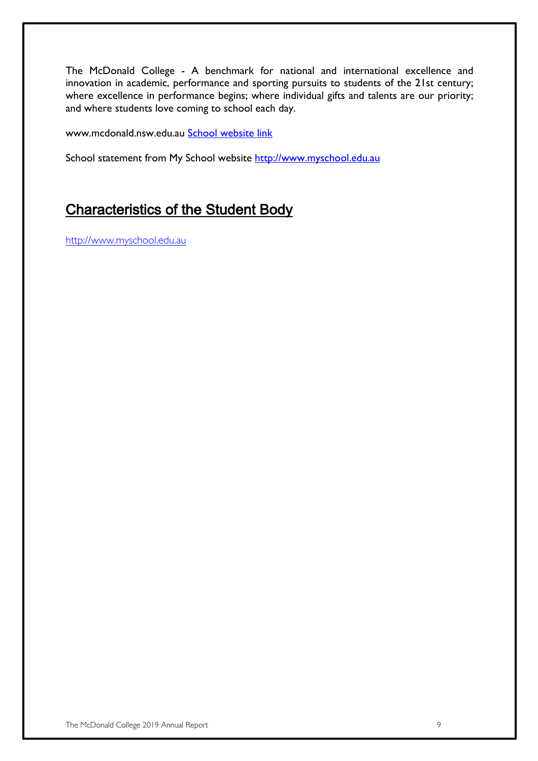The McDonald College - A benchmark for national and international excellence and innovation in academic, performance and sporting pursuits to students of the 21st century; where excellence in performance begins; where individual gifts and talents are our priority; and where students love coming to school each day.

www.mcdonald.nsw.edu.au School website link

School statement from My School website http://www.myschool.edu.au

### Characteristics of the Student Body

http://www.myschool.edu.au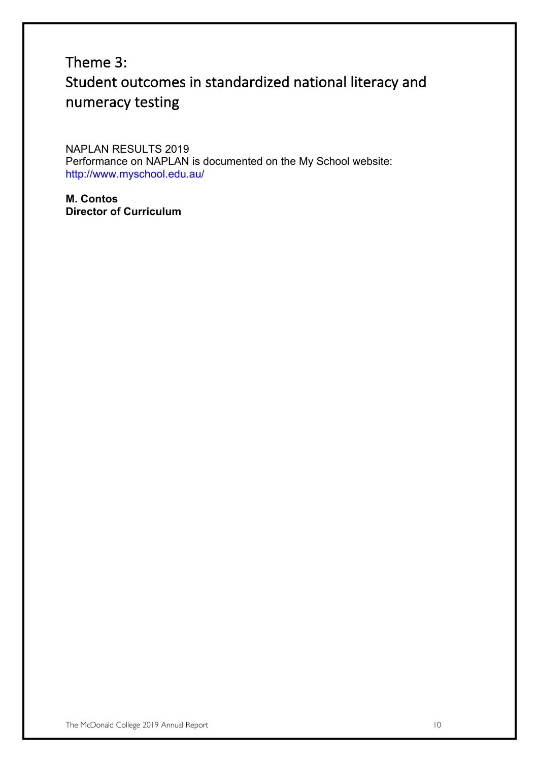### Theme 3: Student outcomes in standardized national literacy and numeracy testing

NAPLAN RESULTS 2019 Performance on NAPLAN is documented on the My School website: http://www.myschool.edu.au/

**M. Contos Director of Curriculum**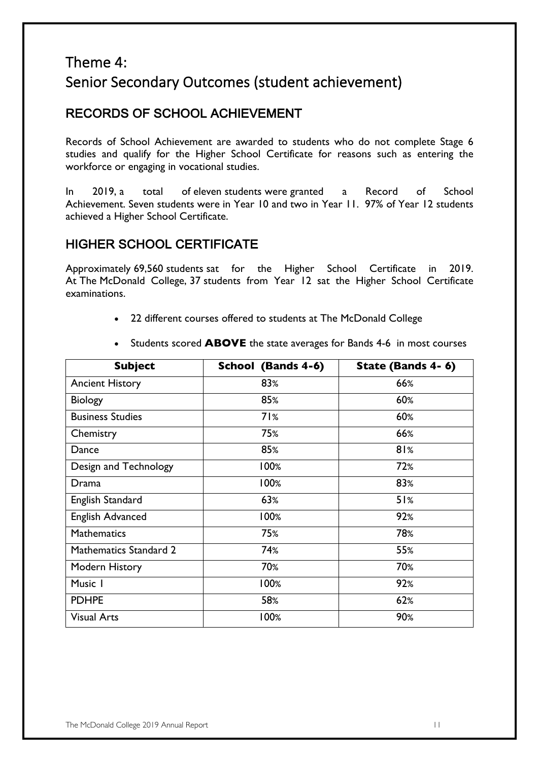### Theme 4: Senior Secondary Outcomes (student achievement)

### RECORDS OF SCHOOL ACHIEVEMENT

Records of School Achievement are awarded to students who do not complete Stage 6 studies and qualify for the Higher School Certificate for reasons such as entering the workforce or engaging in vocational studies.

In 2019, a total of eleven students were granted a Record of School Achievement. Seven students were in Year 10 and two in Year 11. 97% of Year 12 students achieved a Higher School Certificate.

### HIGHER SCHOOL CERTIFICATE

Approximately 69,560 students sat for the Higher School Certificate in 2019. At The McDonald College, 37 students from Year 12 sat the Higher School Certificate examinations.

22 different courses offered to students at The McDonald College

| <b>Subject</b>                | School (Bands 4-6) | State (Bands 4-6) |
|-------------------------------|--------------------|-------------------|
| <b>Ancient History</b>        | 83%                | 66%               |
| <b>Biology</b>                | 85%                | 60%               |
| <b>Business Studies</b>       | 71%                | 60%               |
| Chemistry                     | 75%                | 66%               |
| Dance                         | 85%                | 81%               |
| Design and Technology         | 100%               | 72%               |
| Drama                         | 100%               | 83%               |
| English Standard              | 63%                | 51%               |
| <b>English Advanced</b>       | 100%               | 92%               |
| <b>Mathematics</b>            | 75%                | 78%               |
| <b>Mathematics Standard 2</b> | 74%                | 55%               |
| Modern History                | 70%                | 70%               |
| Music I                       | 100%               | 92%               |
| <b>PDHPE</b>                  | 58%                | 62%               |
| <b>Visual Arts</b>            | 100%               | 90%               |

• Students scored **ABOVE** the state averages for Bands 4-6 in most courses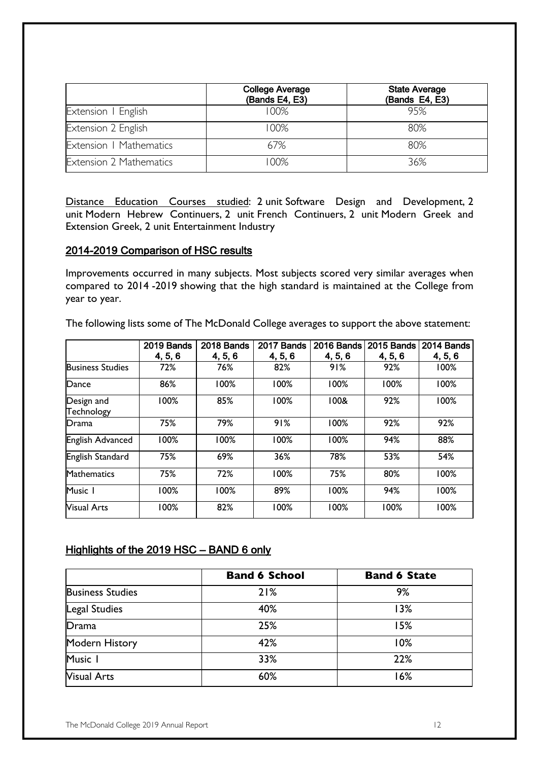|                                | <b>College Average</b><br>(Bands E4, E3) | <b>State Average</b><br>(Bands E4, E3) |
|--------------------------------|------------------------------------------|----------------------------------------|
| Extension   English            | 100%                                     | 95%                                    |
| Extension 2 English            | 00%                                      | 80%                                    |
| Extension   Mathematics        | 67%                                      | 80%                                    |
| <b>Extension 2 Mathematics</b> | 00%                                      | 36%                                    |

Distance Education Courses studied: 2 unit Software Design and Development, 2 unit Modern Hebrew Continuers, 2 unit French Continuers, 2 unit Modern Greek and Extension Greek, 2 unit Entertainment Industry

#### 2014-2019 Comparison of HSC results

Improvements occurred in many subjects. Most subjects scored very similar averages when compared to 2014 -2019 showing that the high standard is maintained at the College from year to year.

The following lists some of The McDonald College averages to support the above statement:

|                          | 2019 Bands | 2018 Bands | 2017 Bands | 2016 Bands | 2015 Bands | 2014 Bands |
|--------------------------|------------|------------|------------|------------|------------|------------|
|                          | 4, 5, 6    | 4, 5, 6    | 4, 5, 6    | 4, 5, 6    | 4, 5, 6    | 4, 5, 6    |
| <b>Business Studies</b>  | 72%        | 76%        | 82%        | 91%        | 92%        | 100%       |
| Dance                    | 86%        | 100%       | 100%       | 100%       | 100%       | 100%       |
| Design and<br>Technology | 100%       | 85%        | 100%       | 100&       | 92%        | 100%       |
| Drama                    | 75%        | 79%        | 91%        | 100%       | 92%        | 92%        |
| English Advanced         | 100%       | 100%       | 100%       | 100%       | 94%        | 88%        |
| English Standard         | 75%        | 69%        | 36%        | 78%        | 53%        | 54%        |
| Mathematics              | 75%        | 72%        | 100%       | 75%        | 80%        | 100%       |
| Music I                  | 100%       | 100%       | 89%        | 100%       | 94%        | 100%       |
| <b>Visual Arts</b>       | 100%       | 82%        | 100%       | 100%       | 100%       | 100%       |

#### Highlights of the 2019 HSC – BAND 6 only

|                         | <b>Band 6 School</b> | <b>Band 6 State</b> |
|-------------------------|----------------------|---------------------|
| <b>Business Studies</b> | 21%                  | 9%                  |
| Legal Studies           | 40%                  | 13%                 |
| Drama                   | 25%                  | 15%                 |
| Modern History          | 42%                  | 10%                 |
| Music 1                 | 33%                  | 22%                 |
| <b>Visual Arts</b>      | 60%                  | 16%                 |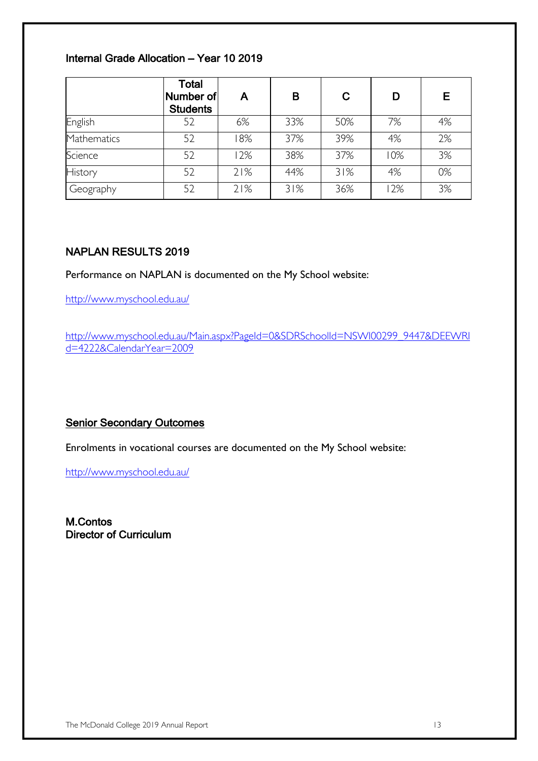#### Internal Grade Allocation – Year 10 2019

|             | <b>Total</b><br>Number of<br><b>Students</b> | A   | в   | C   | D   | Е  |
|-------------|----------------------------------------------|-----|-----|-----|-----|----|
| English     | 52                                           | 6%  | 33% | 50% | 7%  | 4% |
| Mathematics | 52                                           | 18% | 37% | 39% | 4%  | 2% |
| Science     | 52                                           | 12% | 38% | 37% | 10% | 3% |
| History     | 52                                           | 21% | 44% | 31% | 4%  | 0% |
| Geography   | 52                                           | 21% | 31% | 36% | 2%  | 3% |

#### NAPLAN RESULTS 2019

Performance on NAPLAN is documented on the My School website:

http://www.myschool.edu.au/

http://www.myschool.edu.au/Main.aspx?PageId=0&SDRSchoolId=NSWI00299\_9447&DEEWRI d=4222&CalendarYear=2009

#### Senior Secondary Outcomes

Enrolments in vocational courses are documented on the My School website:

http://www.myschool.edu.au/

M.Contos Director of Curriculum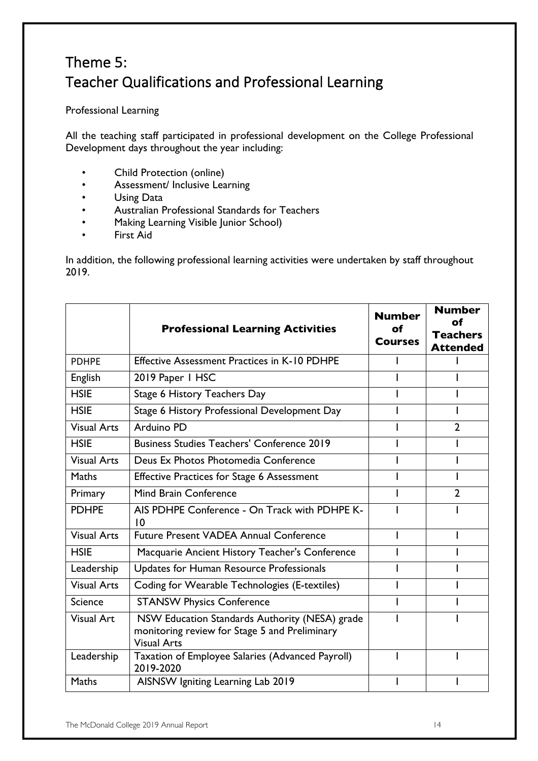### Theme 5: Teacher Qualifications and Professional Learning

Professional Learning

All the teaching staff participated in professional development on the College Professional Development days throughout the year including:

- Child Protection (online)
- Assessment/ Inclusive Learning
- Using Data
- Australian Professional Standards for Teachers
- Making Learning Visible Junior School)
- First Aid

In addition, the following professional learning activities were undertaken by staff throughout 2019.

|                    | <b>Professional Learning Activities</b>                                                                               | <b>Number</b><br>of<br><b>Courses</b> | <b>Number</b><br>of<br><b>Teachers</b><br><b>Attended</b> |
|--------------------|-----------------------------------------------------------------------------------------------------------------------|---------------------------------------|-----------------------------------------------------------|
| <b>PDHPE</b>       | <b>Effective Assessment Practices in K-10 PDHPE</b>                                                                   |                                       |                                                           |
| English            | 2019 Paper 1 HSC                                                                                                      |                                       |                                                           |
| <b>HSIE</b>        | Stage 6 History Teachers Day                                                                                          |                                       |                                                           |
| <b>HSIE</b>        | Stage 6 History Professional Development Day                                                                          |                                       |                                                           |
| <b>Visual Arts</b> | Arduino PD                                                                                                            |                                       | $\overline{2}$                                            |
| <b>HSIE</b>        | <b>Business Studies Teachers' Conference 2019</b>                                                                     |                                       |                                                           |
| <b>Visual Arts</b> | Deus Ex Photos Photomedia Conference                                                                                  |                                       |                                                           |
| <b>Maths</b>       | <b>Effective Practices for Stage 6 Assessment</b>                                                                     |                                       |                                                           |
| Primary            | Mind Brain Conference                                                                                                 |                                       | $\overline{2}$                                            |
| <b>PDHPE</b>       | AIS PDHPE Conference - On Track with PDHPE K-<br>10                                                                   |                                       |                                                           |
| <b>Visual Arts</b> | <b>Future Present VADEA Annual Conference</b>                                                                         |                                       |                                                           |
| <b>HSIE</b>        | Macquarie Ancient History Teacher's Conference                                                                        |                                       |                                                           |
| Leadership         | Updates for Human Resource Professionals                                                                              |                                       |                                                           |
| <b>Visual Arts</b> | Coding for Wearable Technologies (E-textiles)                                                                         |                                       |                                                           |
| <b>Science</b>     | <b>STANSW Physics Conference</b>                                                                                      |                                       |                                                           |
| <b>Visual Art</b>  | NSW Education Standards Authority (NESA) grade<br>monitoring review for Stage 5 and Preliminary<br><b>Visual Arts</b> |                                       |                                                           |
| Leadership         | Taxation of Employee Salaries (Advanced Payroll)<br>2019-2020                                                         |                                       |                                                           |
| Maths              | AISNSW Igniting Learning Lab 2019                                                                                     |                                       |                                                           |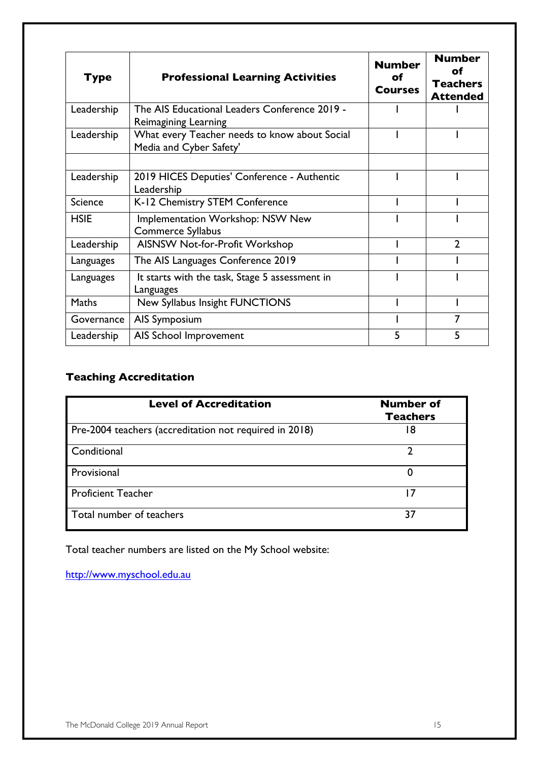| <b>Type</b>    | <b>Professional Learning Activities</b>                                  | <b>Number</b><br>οf<br><b>Courses</b> | <b>Number</b><br>οf<br><b>Teachers</b><br><b>Attended</b> |
|----------------|--------------------------------------------------------------------------|---------------------------------------|-----------------------------------------------------------|
| Leadership     | The AIS Educational Leaders Conference 2019 -<br>Reimagining Learning    |                                       |                                                           |
| Leadership     | What every Teacher needs to know about Social<br>Media and Cyber Safety' |                                       |                                                           |
| Leadership     | 2019 HICES Deputies' Conference - Authentic<br>Leadership                |                                       |                                                           |
| <b>Science</b> | K-12 Chemistry STEM Conference                                           |                                       |                                                           |
| <b>HSIE</b>    | Implementation Workshop: NSW New<br><b>Commerce Syllabus</b>             |                                       |                                                           |
| Leadership     | AISNSW Not-for-Profit Workshop                                           |                                       | $\overline{2}$                                            |
| Languages      | The AIS Languages Conference 2019                                        |                                       |                                                           |
| Languages      | It starts with the task, Stage 5 assessment in<br>Languages              |                                       |                                                           |
| Maths          | New Syllabus Insight FUNCTIONS                                           |                                       |                                                           |
| Governance     | AIS Symposium                                                            |                                       | 7                                                         |
| Leadership     | AIS School Improvement                                                   | 5                                     | 5                                                         |

#### **Teaching Accreditation**

| <b>Level of Accreditation</b>                          | <b>Number of</b><br><b>Teachers</b> |
|--------------------------------------------------------|-------------------------------------|
| Pre-2004 teachers (accreditation not required in 2018) | 18                                  |
| Conditional                                            |                                     |
| Provisional                                            | 0                                   |
| <b>Proficient Teacher</b>                              | 17                                  |
| Total number of teachers                               | 37                                  |

Total teacher numbers are listed on the My School website:

http://www.myschool.edu.au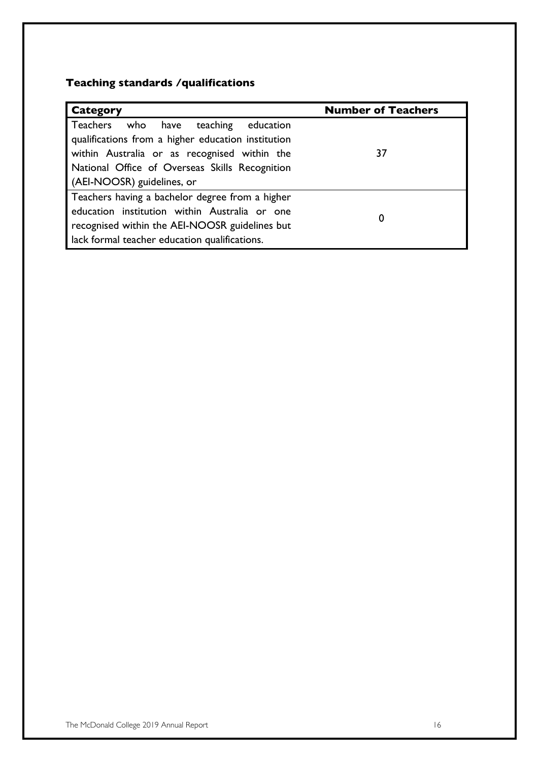#### **Teaching standards /qualifications**

| <b>Category</b>                                                                                                                            | <b>Number of Teachers</b> |
|--------------------------------------------------------------------------------------------------------------------------------------------|---------------------------|
| Teachers who have teaching education<br>qualifications from a higher education institution<br>within Australia or as recognised within the | 37                        |
| National Office of Overseas Skills Recognition<br>(AEI-NOOSR) guidelines, or                                                               |                           |
| Teachers having a bachelor degree from a higher                                                                                            |                           |
| education institution within Australia or one                                                                                              | 0                         |
| recognised within the AEI-NOOSR guidelines but                                                                                             |                           |
| lack formal teacher education qualifications.                                                                                              |                           |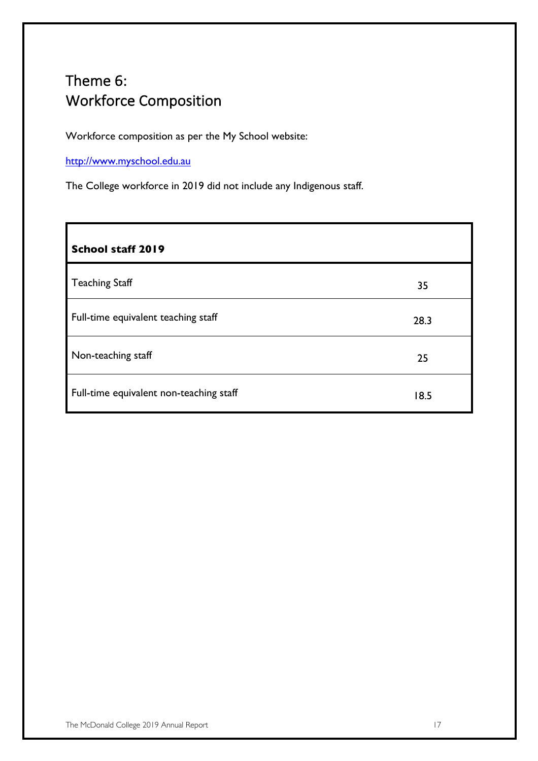## Theme 6: Workforce Composition

Workforce composition as per the My School website:

http://www.myschool.edu.au

The College workforce in 2019 did not include any Indigenous staff.

| School staff 2019                       |      |
|-----------------------------------------|------|
| <b>Teaching Staff</b>                   | 35   |
| Full-time equivalent teaching staff     | 28.3 |
| Non-teaching staff                      | 25   |
| Full-time equivalent non-teaching staff | 18.5 |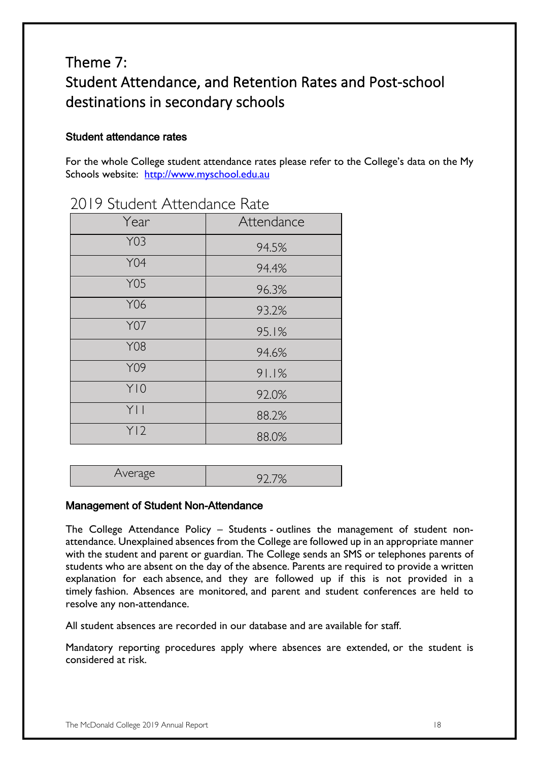### Theme 7: Student Attendance, and Retention Rates and Post-school destinations in secondary schools

#### Student attendance rates

For the whole College student attendance rates please refer to the College's data on the My Schools website: http://www.myschool.edu.au

| Year            | Attendance |
|-----------------|------------|
| Y03             | 94.5%      |
| <b>Y04</b>      | 94.4%      |
| <b>Y05</b>      | 96.3%      |
| Y06             | 93.2%      |
| <b>Y07</b>      | 95.1%      |
| <b>Y08</b>      | 94.6%      |
| Y09             | 91.1%      |
| Y10             | 92.0%      |
| Y               | 88.2%      |
| Y <sub>12</sub> | 88.0%      |

#### 2019 Student Attendance Rate

| ہے ری ہے ۔<br>$\cdots$ |  |
|------------------------|--|
|------------------------|--|

#### Management of Student Non-Attendance

The College Attendance Policy – Students - outlines the management of student nonattendance. Unexplained absences from the College are followed up in an appropriate manner with the student and parent or guardian. The College sends an SMS or telephones parents of students who are absent on the day of the absence. Parents are required to provide a written explanation for each absence, and they are followed up if this is not provided in a timely fashion. Absences are monitored, and parent and student conferences are held to resolve any non-attendance.

All student absences are recorded in our database and are available for staff.

Mandatory reporting procedures apply where absences are extended, or the student is considered at risk.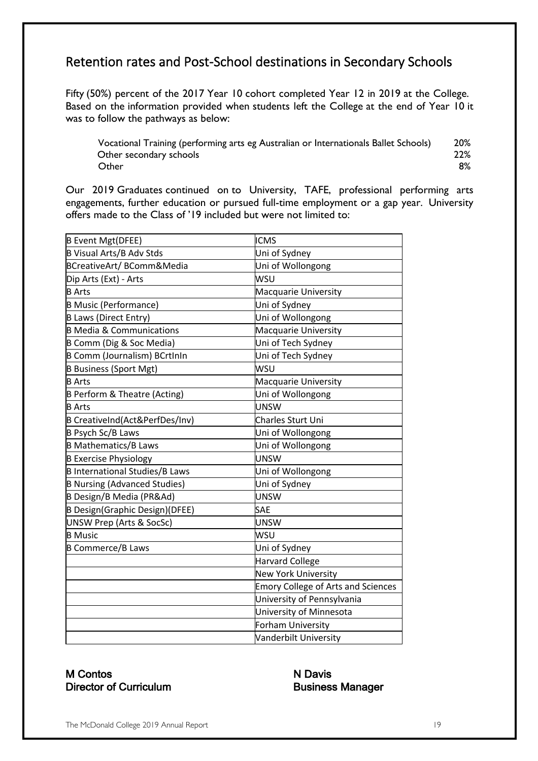### Retention rates and Post-School destinations in Secondary Schools

Fifty (50%) percent of the 2017 Year 10 cohort completed Year 12 in 2019 at the College.   Based on the information provided when students left the College at the end of Year 10 it was to follow the pathways as below:

Vocational Training (performing arts eg Australian or Internationals Ballet Schools) 20%           Other secondary schools                                                    22% Other 8%

Our 2019 Graduates continued on to University, TAFE, professional performing arts engagements, further education or pursued full-time employment or a gap year. University offers made to the Class of '19 included but were not limited to:

| B Event Mgt(DFEE)                     | <b>ICMS</b>                               |
|---------------------------------------|-------------------------------------------|
| B Visual Arts/B Adv Stds              | Uni of Sydney                             |
| BCreativeArt/BComm&Media              | Uni of Wollongong                         |
| Dip Arts (Ext) - Arts                 | WSU                                       |
| <b>B</b> Arts                         | Macquarie University                      |
| <b>B Music (Performance)</b>          | Uni of Sydney                             |
| B Laws (Direct Entry)                 | Uni of Wollongong                         |
| <b>B Media &amp; Communications</b>   | Macquarie University                      |
| B Comm (Dig & Soc Media)              | Uni of Tech Sydney                        |
| B Comm (Journalism) BCrtInIn          | Uni of Tech Sydney                        |
| <b>B Business (Sport Mgt)</b>         | WSU                                       |
| <b>B</b> Arts                         | Macquarie University                      |
| B Perform & Theatre (Acting)          | Uni of Wollongong                         |
| <b>B</b> Arts                         | UNSW                                      |
| B CreativeInd(Act&PerfDes/Inv)        | Charles Sturt Uni                         |
| B Psych Sc/B Laws                     | Uni of Wollongong                         |
| <b>B Mathematics/B Laws</b>           | Uni of Wollongong                         |
| <b>B Exercise Physiology</b>          | UNSW                                      |
| <b>B International Studies/B Laws</b> | Uni of Wollongong                         |
| <b>B Nursing (Advanced Studies)</b>   | Uni of Sydney                             |
| B Design/B Media (PR&Ad)              | UNSW                                      |
| B Design(Graphic Design)(DFEE)        | <b>SAE</b>                                |
| <b>UNSW Prep (Arts &amp; SocSc)</b>   | <b>UNSW</b>                               |
| <b>B</b> Music                        | WSU                                       |
| <b>B Commerce/B Laws</b>              | Uni of Sydney                             |
|                                       | <b>Harvard College</b>                    |
|                                       | <b>New York University</b>                |
|                                       | <b>Emory College of Arts and Sciences</b> |
|                                       | University of Pennsylvania                |
|                                       | University of Minnesota                   |
|                                       | <b>Forham University</b>                  |
|                                       | Vanderbilt University                     |

#### M Contos N Davis Director of Curriculum Business Manager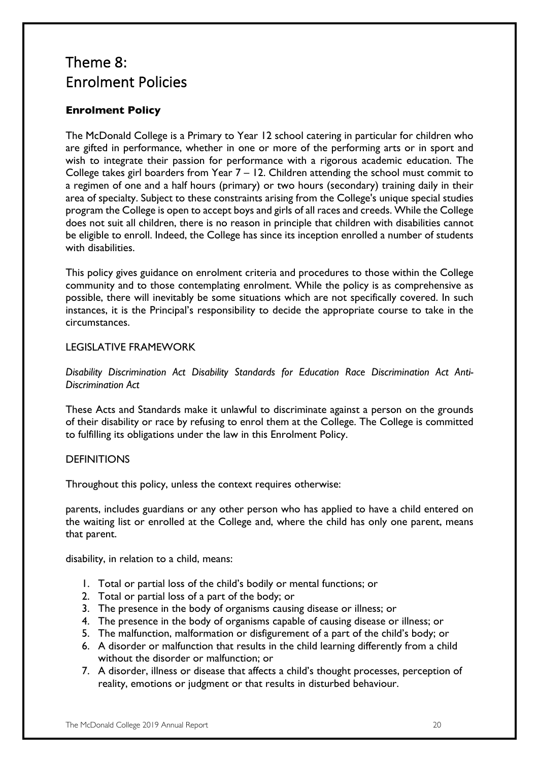### Theme 8: Enrolment Policies

#### **Enrolment Policy**

The McDonald College is a Primary to Year 12 school catering in particular for children who are gifted in performance, whether in one or more of the performing arts or in sport and wish to integrate their passion for performance with a rigorous academic education. The College takes girl boarders from Year 7 – 12. Children attending the school must commit to a regimen of one and a half hours (primary) or two hours (secondary) training daily in their area of specialty. Subject to these constraints arising from the College's unique special studies program the College is open to accept boys and girls of all races and creeds. While the College does not suit all children, there is no reason in principle that children with disabilities cannot be eligible to enroll. Indeed, the College has since its inception enrolled a number of students with disabilities.

This policy gives guidance on enrolment criteria and procedures to those within the College community and to those contemplating enrolment. While the policy is as comprehensive as possible, there will inevitably be some situations which are not specifically covered. In such instances, it is the Principal's responsibility to decide the appropriate course to take in the circumstances.

#### LEGISLATIVE FRAMEWORK

*Disability Discrimination Act Disability Standards for Education Race Discrimination Act Anti-Discrimination Act* 

These Acts and Standards make it unlawful to discriminate against a person on the grounds of their disability or race by refusing to enrol them at the College. The College is committed to fulfilling its obligations under the law in this Enrolment Policy.

#### **DEFINITIONS**

Throughout this policy, unless the context requires otherwise:

parents, includes guardians or any other person who has applied to have a child entered on the waiting list or enrolled at the College and, where the child has only one parent, means that parent.

disability, in relation to a child, means:

- 1. Total or partial loss of the child's bodily or mental functions; or
- 2. Total or partial loss of a part of the body; or
- 3. The presence in the body of organisms causing disease or illness; or
- 4. The presence in the body of organisms capable of causing disease or illness; or
- 5. The malfunction, malformation or disfigurement of a part of the child's body; or
- 6. A disorder or malfunction that results in the child learning differently from a child without the disorder or malfunction; or
- 7. A disorder, illness or disease that affects a child's thought processes, perception of reality, emotions or judgment or that results in disturbed behaviour.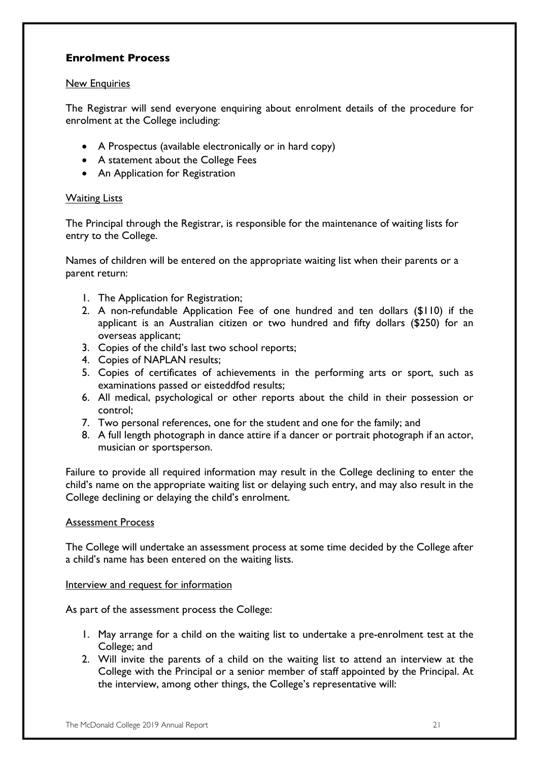#### **Enrolment Process**

#### New Enquiries

The Registrar will send everyone enquiring about enrolment details of the procedure for enrolment at the College including:

- A Prospectus (available electronically or in hard copy)
- A statement about the College Fees
- An Application for Registration

#### **Waiting Lists**

The Principal through the Registrar, is responsible for the maintenance of waiting lists for entry to the College.

Names of children will be entered on the appropriate waiting list when their parents or a parent return:

- 1. The Application for Registration;
- 2. A non-refundable Application Fee of one hundred and ten dollars (\$110) if the applicant is an Australian citizen or two hundred and fifty dollars (\$250) for an overseas applicant;
- 3. Copies of the child's last two school reports;
- 4. Copies of NAPLAN results;
- 5. Copies of certificates of achievements in the performing arts or sport, such as examinations passed or eisteddfod results;
- 6. All medical, psychological or other reports about the child in their possession or control;
- 7. Two personal references, one for the student and one for the family; and
- 8. A full length photograph in dance attire if a dancer or portrait photograph if an actor, musician or sportsperson.

Failure to provide all required information may result in the College declining to enter the child's name on the appropriate waiting list or delaying such entry, and may also result in the College declining or delaying the child's enrolment.

#### Assessment Process

The College will undertake an assessment process at some time decided by the College after a child's name has been entered on the waiting lists.

#### Interview and request for information

As part of the assessment process the College:

- 1. May arrange for a child on the waiting list to undertake a pre-enrolment test at the College; and
- 2. Will invite the parents of a child on the waiting list to attend an interview at the College with the Principal or a senior member of staff appointed by the Principal. At the interview, among other things, the College's representative will: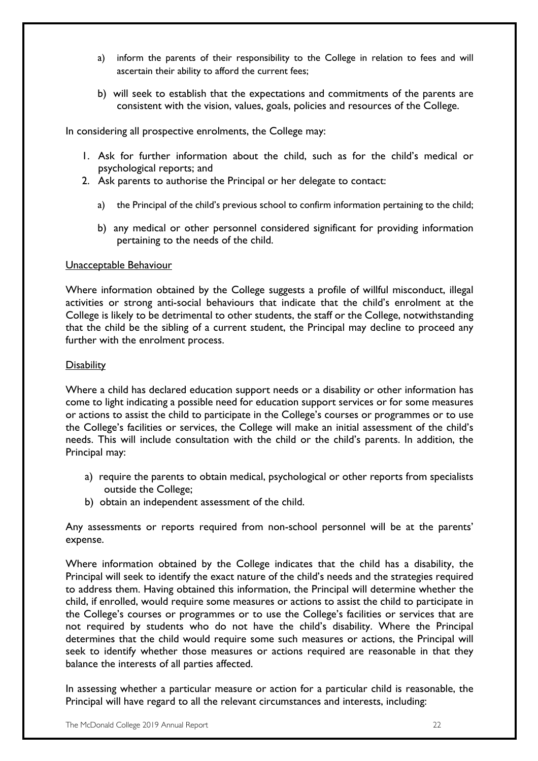- a) inform the parents of their responsibility to the College in relation to fees and will ascertain their ability to afford the current fees;
- b) will seek to establish that the expectations and commitments of the parents are consistent with the vision, values, goals, policies and resources of the College.

In considering all prospective enrolments, the College may:

- 1. Ask for further information about the child, such as for the child's medical or psychological reports; and
- 2. Ask parents to authorise the Principal or her delegate to contact:
	- a) the Principal of the child's previous school to confirm information pertaining to the child;
	- b) any medical or other personnel considered significant for providing information pertaining to the needs of the child.

#### Unacceptable Behaviour

Where information obtained by the College suggests a profile of willful misconduct, illegal activities or strong anti-social behaviours that indicate that the child's enrolment at the College is likely to be detrimental to other students, the staff or the College, notwithstanding that the child be the sibling of a current student, the Principal may decline to proceed any further with the enrolment process.

#### **Disability**

Where a child has declared education support needs or a disability or other information has come to light indicating a possible need for education support services or for some measures or actions to assist the child to participate in the College's courses or programmes or to use the College's facilities or services, the College will make an initial assessment of the child's needs. This will include consultation with the child or the child's parents. In addition, the Principal may:

- a) require the parents to obtain medical, psychological or other reports from specialists outside the College;
- b) obtain an independent assessment of the child.

Any assessments or reports required from non-school personnel will be at the parents' expense.

Where information obtained by the College indicates that the child has a disability, the Principal will seek to identify the exact nature of the child's needs and the strategies required to address them. Having obtained this information, the Principal will determine whether the child, if enrolled, would require some measures or actions to assist the child to participate in the College's courses or programmes or to use the College's facilities or services that are not required by students who do not have the child's disability. Where the Principal determines that the child would require some such measures or actions, the Principal will seek to identify whether those measures or actions required are reasonable in that they balance the interests of all parties affected.

In assessing whether a particular measure or action for a particular child is reasonable, the Principal will have regard to all the relevant circumstances and interests, including: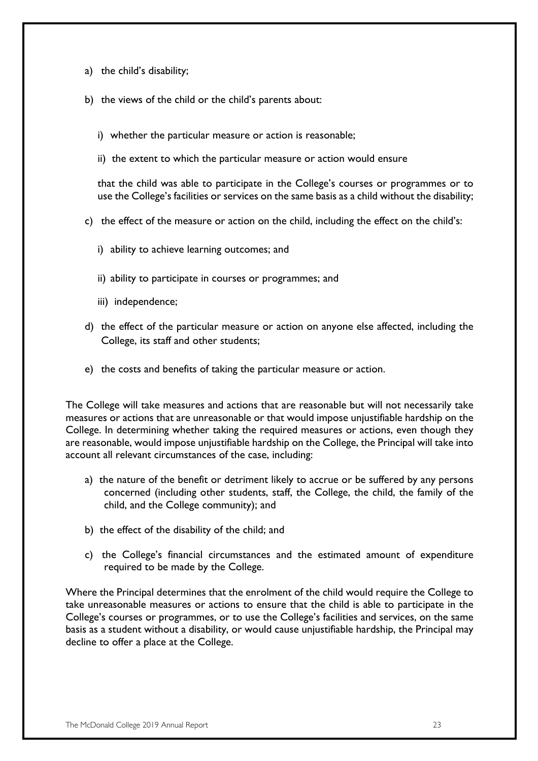- a) the child's disability;
- b) the views of the child or the child's parents about:
	- i) whether the particular measure or action is reasonable;
	- ii) the extent to which the particular measure or action would ensure

that the child was able to participate in the College's courses or programmes or to use the College's facilities or services on the same basis as a child without the disability;

- c) the effect of the measure or action on the child, including the effect on the child's:
	- i) ability to achieve learning outcomes; and
	- ii) ability to participate in courses or programmes; and
	- iii) independence;
- d) the effect of the particular measure or action on anyone else affected, including the College, its staff and other students;
- e) the costs and benefits of taking the particular measure or action.

The College will take measures and actions that are reasonable but will not necessarily take measures or actions that are unreasonable or that would impose unjustifiable hardship on the College. In determining whether taking the required measures or actions, even though they are reasonable, would impose unjustifiable hardship on the College, the Principal will take into account all relevant circumstances of the case, including:

- a) the nature of the benefit or detriment likely to accrue or be suffered by any persons concerned (including other students, staff, the College, the child, the family of the child, and the College community); and
- b) the effect of the disability of the child; and
- c) the College's financial circumstances and the estimated amount of expenditure required to be made by the College.

Where the Principal determines that the enrolment of the child would require the College to take unreasonable measures or actions to ensure that the child is able to participate in the College's courses or programmes, or to use the College's facilities and services, on the same basis as a student without a disability, or would cause unjustifiable hardship, the Principal may decline to offer a place at the College.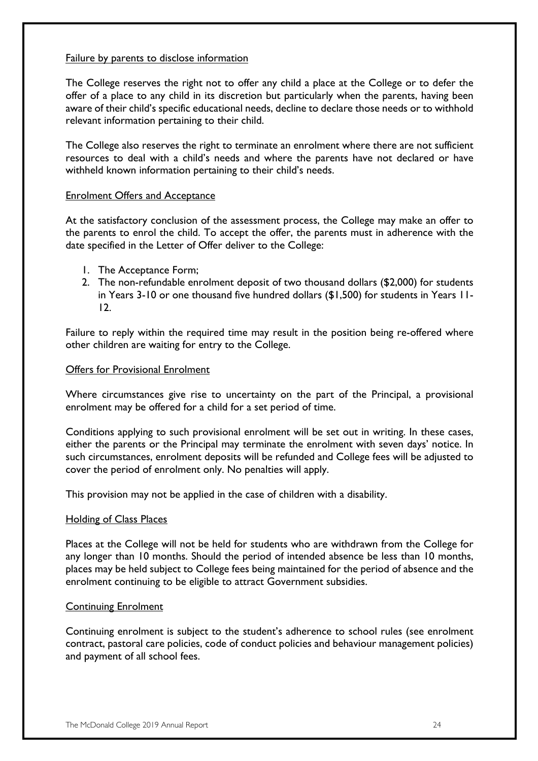#### Failure by parents to disclose information

The College reserves the right not to offer any child a place at the College or to defer the offer of a place to any child in its discretion but particularly when the parents, having been aware of their child's specific educational needs, decline to declare those needs or to withhold relevant information pertaining to their child.

The College also reserves the right to terminate an enrolment where there are not sufficient resources to deal with a child's needs and where the parents have not declared or have withheld known information pertaining to their child's needs.

#### Enrolment Offers and Acceptance

At the satisfactory conclusion of the assessment process, the College may make an offer to the parents to enrol the child. To accept the offer, the parents must in adherence with the date specified in the Letter of Offer deliver to the College:

- 1. The Acceptance Form;
- 2. The non-refundable enrolment deposit of two thousand dollars (\$2,000) for students in Years 3-10 or one thousand five hundred dollars (\$1,500) for students in Years 11- 12.

Failure to reply within the required time may result in the position being re-offered where other children are waiting for entry to the College.

#### Offers for Provisional Enrolment

Where circumstances give rise to uncertainty on the part of the Principal, a provisional enrolment may be offered for a child for a set period of time.

Conditions applying to such provisional enrolment will be set out in writing. In these cases, either the parents or the Principal may terminate the enrolment with seven days' notice. In such circumstances, enrolment deposits will be refunded and College fees will be adjusted to cover the period of enrolment only. No penalties will apply.

This provision may not be applied in the case of children with a disability.

#### Holding of Class Places

Places at the College will not be held for students who are withdrawn from the College for any longer than 10 months. Should the period of intended absence be less than 10 months, places may be held subject to College fees being maintained for the period of absence and the enrolment continuing to be eligible to attract Government subsidies.

#### Continuing Enrolment

Continuing enrolment is subject to the student's adherence to school rules (see enrolment contract, pastoral care policies, code of conduct policies and behaviour management policies) and payment of all school fees.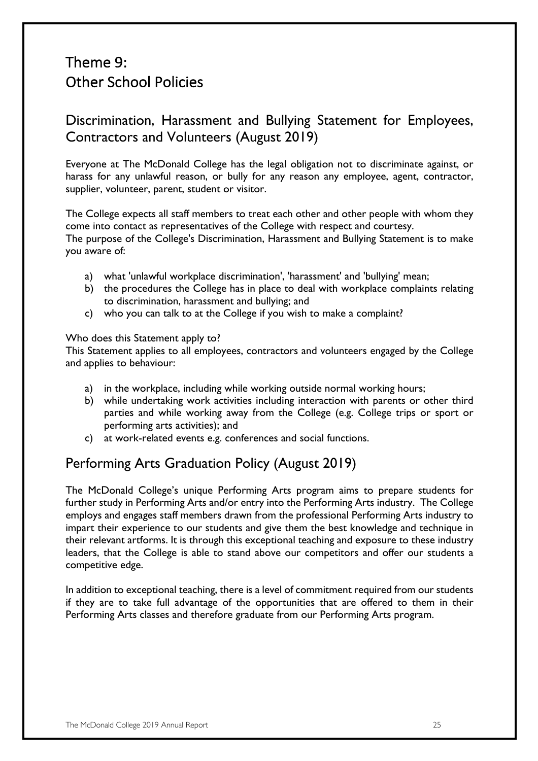### Theme 9: Other School Policies

### Discrimination, Harassment and Bullying Statement for Employees, Contractors and Volunteers (August 2019)

Everyone at The McDonald College has the legal obligation not to discriminate against, or harass for any unlawful reason, or bully for any reason any employee, agent, contractor, supplier, volunteer, parent, student or visitor.

The College expects all staff members to treat each other and other people with whom they come into contact as representatives of the College with respect and courtesy. The purpose of the College's Discrimination, Harassment and Bullying Statement is to make you aware of:

- a) what 'unlawful workplace discrimination', 'harassment' and 'bullying' mean;
- b) the procedures the College has in place to deal with workplace complaints relating to discrimination, harassment and bullying; and
- c) who you can talk to at the College if you wish to make a complaint?

#### Who does this Statement apply to?

This Statement applies to all employees, contractors and volunteers engaged by the College and applies to behaviour:

- a) in the workplace, including while working outside normal working hours;
- b) while undertaking work activities including interaction with parents or other third parties and while working away from the College (e.g. College trips or sport or performing arts activities); and
- c) at work-related events e.g. conferences and social functions.

### Performing Arts Graduation Policy (August 2019)

The McDonald College's unique Performing Arts program aims to prepare students for further study in Performing Arts and/or entry into the Performing Arts industry. The College employs and engages staff members drawn from the professional Performing Arts industry to impart their experience to our students and give them the best knowledge and technique in their relevant artforms. It is through this exceptional teaching and exposure to these industry leaders, that the College is able to stand above our competitors and offer our students a competitive edge.

In addition to exceptional teaching, there is a level of commitment required from our students if they are to take full advantage of the opportunities that are offered to them in their Performing Arts classes and therefore graduate from our Performing Arts program.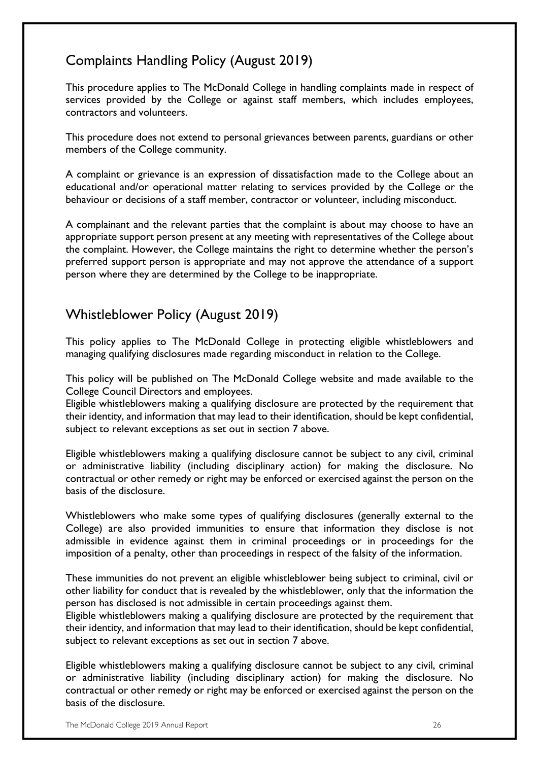### Complaints Handling Policy (August 2019)

This procedure applies to The McDonald College in handling complaints made in respect of services provided by the College or against staff members, which includes employees, contractors and volunteers.

This procedure does not extend to personal grievances between parents, guardians or other members of the College community.

A complaint or grievance is an expression of dissatisfaction made to the College about an educational and/or operational matter relating to services provided by the College or the behaviour or decisions of a staff member, contractor or volunteer, including misconduct.

A complainant and the relevant parties that the complaint is about may choose to have an appropriate support person present at any meeting with representatives of the College about the complaint. However, the College maintains the right to determine whether the person's preferred support person is appropriate and may not approve the attendance of a support person where they are determined by the College to be inappropriate.

### Whistleblower Policy (August 2019)

This policy applies to The McDonald College in protecting eligible whistleblowers and managing qualifying disclosures made regarding misconduct in relation to the College.

This policy will be published on The McDonald College website and made available to the College Council Directors and employees.

Eligible whistleblowers making a qualifying disclosure are protected by the requirement that their identity, and information that may lead to their identification, should be kept confidential, subject to relevant exceptions as set out in section 7 above.

Eligible whistleblowers making a qualifying disclosure cannot be subject to any civil, criminal or administrative liability (including disciplinary action) for making the disclosure. No contractual or other remedy or right may be enforced or exercised against the person on the basis of the disclosure.

Whistleblowers who make some types of qualifying disclosures (generally external to the College) are also provided immunities to ensure that information they disclose is not admissible in evidence against them in criminal proceedings or in proceedings for the imposition of a penalty, other than proceedings in respect of the falsity of the information.

These immunities do not prevent an eligible whistleblower being subject to criminal, civil or other liability for conduct that is revealed by the whistleblower, only that the information the person has disclosed is not admissible in certain proceedings against them.

Eligible whistleblowers making a qualifying disclosure are protected by the requirement that their identity, and information that may lead to their identification, should be kept confidential, subject to relevant exceptions as set out in section 7 above.

Eligible whistleblowers making a qualifying disclosure cannot be subject to any civil, criminal or administrative liability (including disciplinary action) for making the disclosure. No contractual or other remedy or right may be enforced or exercised against the person on the basis of the disclosure.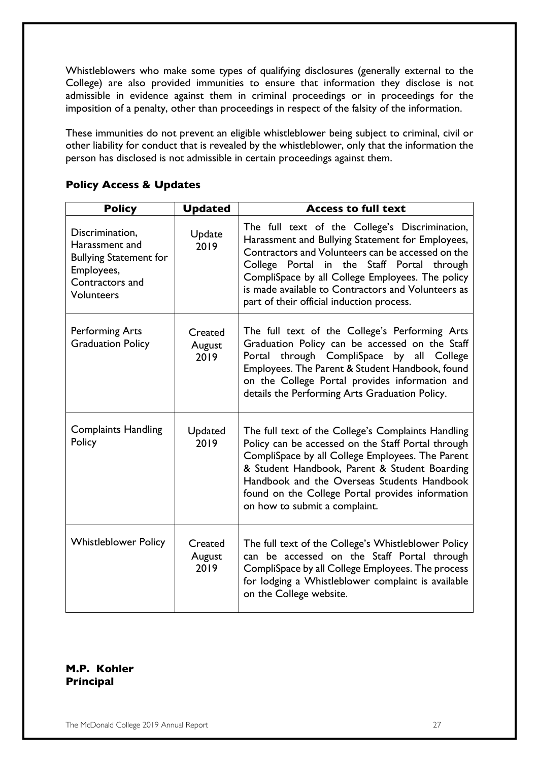Whistleblowers who make some types of qualifying disclosures (generally external to the College) are also provided immunities to ensure that information they disclose is not admissible in evidence against them in criminal proceedings or in proceedings for the imposition of a penalty, other than proceedings in respect of the falsity of the information.

These immunities do not prevent an eligible whistleblower being subject to criminal, civil or other liability for conduct that is revealed by the whistleblower, only that the information the person has disclosed is not admissible in certain proceedings against them.

| <b>Policy</b>                                                                                                            | <b>Updated</b>            | <b>Access to full text</b>                                                                                                                                                                                                                                                                                                                                   |
|--------------------------------------------------------------------------------------------------------------------------|---------------------------|--------------------------------------------------------------------------------------------------------------------------------------------------------------------------------------------------------------------------------------------------------------------------------------------------------------------------------------------------------------|
| Discrimination,<br>Harassment and<br><b>Bullying Statement for</b><br>Employees,<br>Contractors and<br><b>Volunteers</b> | Update<br>2019            | The full text of the College's Discrimination,<br>Harassment and Bullying Statement for Employees,<br>Contractors and Volunteers can be accessed on the<br>College Portal in the Staff Portal through<br>CompliSpace by all College Employees. The policy<br>is made available to Contractors and Volunteers as<br>part of their official induction process. |
| <b>Performing Arts</b><br><b>Graduation Policy</b>                                                                       | Created<br>August<br>2019 | The full text of the College's Performing Arts<br>Graduation Policy can be accessed on the Staff<br>through CompliSpace<br>by<br>all<br>College<br>Portal<br>Employees. The Parent & Student Handbook, found<br>on the College Portal provides information and<br>details the Performing Arts Graduation Policy.                                             |
| <b>Complaints Handling</b><br>Policy                                                                                     | Updated<br>2019           | The full text of the College's Complaints Handling<br>Policy can be accessed on the Staff Portal through<br>CompliSpace by all College Employees. The Parent<br>& Student Handbook, Parent & Student Boarding<br>Handbook and the Overseas Students Handbook<br>found on the College Portal provides information<br>on how to submit a complaint.            |
| <b>Whistleblower Policy</b>                                                                                              | Created<br>August<br>2019 | The full text of the College's Whistleblower Policy<br>can be accessed on the Staff Portal through<br>CompliSpace by all College Employees. The process<br>for lodging a Whistleblower complaint is available<br>on the College website.                                                                                                                     |

#### **Policy Access & Updates**

#### **M.P. Kohler Principal**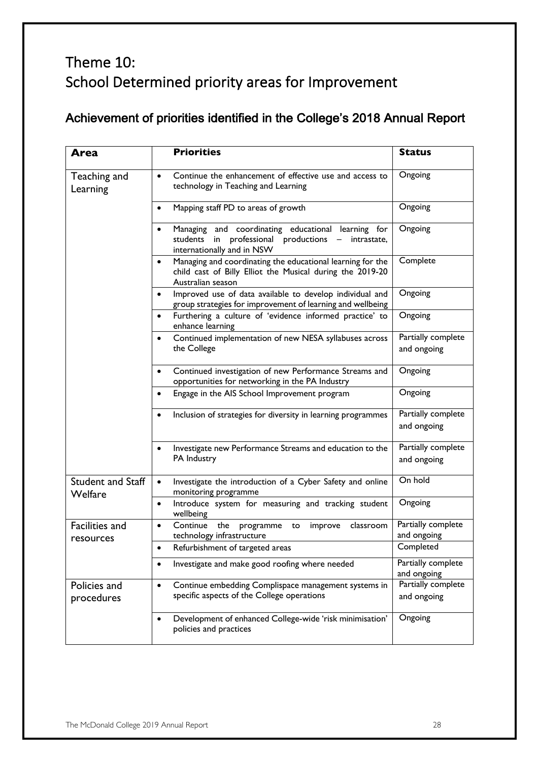### Theme 10: School Determined priority areas for Improvement

### Achievement of priorities identified in the College's 2018 Annual Report

| <b>Area</b>                         | <b>Priorities</b>                                                                                                                                      | <b>Status</b>                     |
|-------------------------------------|--------------------------------------------------------------------------------------------------------------------------------------------------------|-----------------------------------|
| Teaching and<br>Learning            | Continue the enhancement of effective use and access to<br>$\bullet$<br>technology in Teaching and Learning                                            | Ongoing                           |
|                                     | Mapping staff PD to areas of growth<br>$\bullet$                                                                                                       | Ongoing                           |
|                                     | Managing and coordinating educational learning for<br>$\bullet$<br>students in professional productions -<br>intrastate,<br>internationally and in NSW | Ongoing                           |
|                                     | Managing and coordinating the educational learning for the<br>child cast of Billy Elliot the Musical during the 2019-20<br>Australian season           | Complete                          |
|                                     | Improved use of data available to develop individual and<br>group strategies for improvement of learning and wellbeing                                 | Ongoing                           |
|                                     | Furthering a culture of 'evidence informed practice' to<br>$\bullet$<br>enhance learning                                                               | Ongoing                           |
|                                     | Continued implementation of new NESA syllabuses across<br>$\bullet$<br>the College                                                                     | Partially complete<br>and ongoing |
|                                     | Continued investigation of new Performance Streams and<br>$\bullet$<br>opportunities for networking in the PA Industry                                 | Ongoing                           |
|                                     | Engage in the AIS School Improvement program<br>٠                                                                                                      | Ongoing                           |
|                                     | Inclusion of strategies for diversity in learning programmes<br>$\bullet$                                                                              | Partially complete<br>and ongoing |
|                                     | Investigate new Performance Streams and education to the<br>PA Industry                                                                                | Partially complete<br>and ongoing |
| <b>Student and Staff</b><br>Welfare | Investigate the introduction of a Cyber Safety and online<br>$\bullet$<br>monitoring programme                                                         | On hold                           |
|                                     | Introduce system for measuring and tracking student<br>$\bullet$<br>wellbeing                                                                          | Ongoing                           |
| <b>Facilities and</b><br>resources  | Continue the programme<br>improve<br>classroom<br>$\bullet$<br>to<br>technology infrastructure                                                         | Partially complete<br>and ongoing |
|                                     | Refurbishment of targeted areas                                                                                                                        | Completed                         |
|                                     | Investigate and make good roofing where needed<br>$\bullet$                                                                                            | Partially complete<br>and ongoing |
| Policies and<br>procedures          | Continue embedding Complispace management systems in<br>$\bullet$<br>specific aspects of the College operations                                        | Partially complete<br>and ongoing |
|                                     | Development of enhanced College-wide 'risk minimisation'<br>٠<br>policies and practices                                                                | Ongoing                           |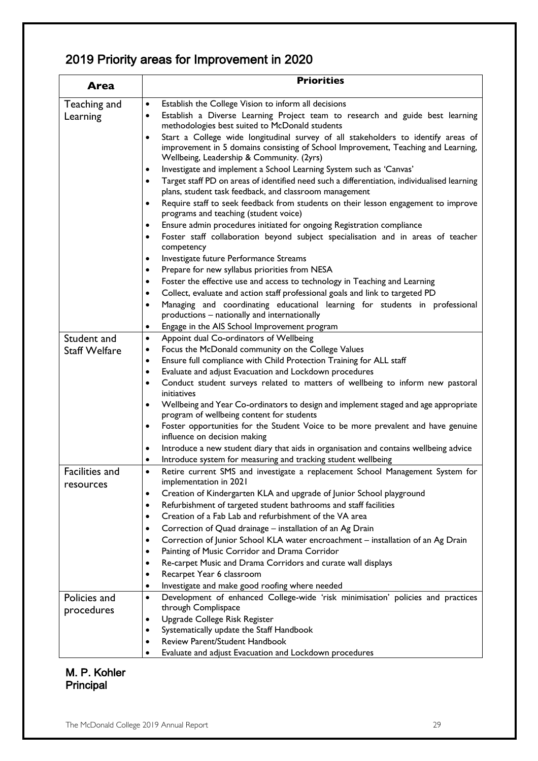### 2019 Priority areas for Improvement in 2020

| Area                               | <b>Priorities</b>                                                                                                                                                                                                                                                                                                                                                                                                                                                                                                                                                                                                                                                                                                                                                                    |
|------------------------------------|--------------------------------------------------------------------------------------------------------------------------------------------------------------------------------------------------------------------------------------------------------------------------------------------------------------------------------------------------------------------------------------------------------------------------------------------------------------------------------------------------------------------------------------------------------------------------------------------------------------------------------------------------------------------------------------------------------------------------------------------------------------------------------------|
| Teaching and                       | Establish the College Vision to inform all decisions<br>$\bullet$                                                                                                                                                                                                                                                                                                                                                                                                                                                                                                                                                                                                                                                                                                                    |
| Learning                           | Establish a Diverse Learning Project team to research and guide best learning<br>٠<br>methodologies best suited to McDonald students<br>Start a College wide longitudinal survey of all stakeholders to identify areas of<br>٠<br>improvement in 5 domains consisting of School Improvement, Teaching and Learning,<br>Wellbeing, Leadership & Community. (2yrs)<br>Investigate and implement a School Learning System such as 'Canvas'<br>٠<br>Target staff PD on areas of identified need such a differentiation, individualised learning<br>$\bullet$                                                                                                                                                                                                                             |
|                                    | plans, student task feedback, and classroom management<br>Require staff to seek feedback from students on their lesson engagement to improve<br>$\bullet$<br>programs and teaching (student voice)<br>Ensure admin procedures initiated for ongoing Registration compliance<br>$\bullet$<br>Foster staff collaboration beyond subject specialisation and in areas of teacher<br>$\bullet$<br>competency<br>Investigate future Performance Streams<br>٠<br>Prepare for new syllabus priorities from NESA<br>$\bullet$<br>Foster the effective use and access to technology in Teaching and Learning<br>٠<br>Collect, evaluate and action staff professional goals and link to targeted PD<br>Managing and coordinating educational learning for students in professional<br>$\bullet$ |
|                                    | productions - nationally and internationally                                                                                                                                                                                                                                                                                                                                                                                                                                                                                                                                                                                                                                                                                                                                         |
| Student and                        | Engage in the AIS School Improvement program<br>$\bullet$<br>Appoint dual Co-ordinators of Wellbeing<br>$\bullet$                                                                                                                                                                                                                                                                                                                                                                                                                                                                                                                                                                                                                                                                    |
| <b>Staff Welfare</b>               | Focus the McDonald community on the College Values<br>$\bullet$<br>Ensure full compliance with Child Protection Training for ALL staff<br>$\bullet$<br>Evaluate and adjust Evacuation and Lockdown procedures<br>$\bullet$<br>Conduct student surveys related to matters of wellbeing to inform new pastoral<br>٠<br>initiatives<br>Wellbeing and Year Co-ordinators to design and implement staged and age appropriate<br>$\bullet$<br>program of wellbeing content for students<br>Foster opportunities for the Student Voice to be more prevalent and have genuine<br>$\bullet$<br>influence on decision making<br>Introduce a new student diary that aids in organisation and contains wellbeing advice<br>٠<br>Introduce system for measuring and tracking student wellbeing    |
| <b>Facilities and</b><br>resources | Retire current SMS and investigate a replacement School Management System for<br>$\bullet$<br>implementation in 2021<br>Creation of Kindergarten KLA and upgrade of Junior School playground<br>Refurbishment of targeted student bathrooms and staff facilities<br>٠<br>Creation of a Fab Lab and refurbishment of the VA area<br>٠<br>Correction of Quad drainage - installation of an Ag Drain<br>٠<br>Correction of Junior School KLA water encroachment - installation of an Ag Drain<br>٠<br>Painting of Music Corridor and Drama Corridor<br>٠<br>Re-carpet Music and Drama Corridors and curate wall displays<br>٠<br>Recarpet Year 6 classroom<br>$\bullet$<br>Investigate and make good roofing where needed                                                               |
| Policies and<br>procedures         | Development of enhanced College-wide 'risk minimisation' policies and practices<br>$\bullet$<br>through Complispace<br>Upgrade College Risk Register<br>٠<br>Systematically update the Staff Handbook<br>$\bullet$<br>Review Parent/Student Handbook<br>Evaluate and adjust Evacuation and Lockdown procedures                                                                                                                                                                                                                                                                                                                                                                                                                                                                       |

#### M. P. Kohler Principal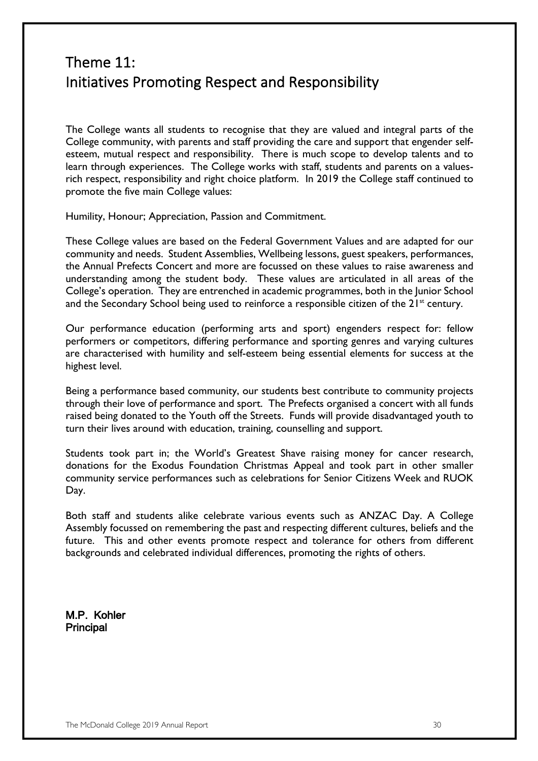### Theme 11: Initiatives Promoting Respect and Responsibility

The College wants all students to recognise that they are valued and integral parts of the College community, with parents and staff providing the care and support that engender selfesteem, mutual respect and responsibility. There is much scope to develop talents and to learn through experiences. The College works with staff, students and parents on a valuesrich respect, responsibility and right choice platform. In 2019 the College staff continued to promote the five main College values:

Humility, Honour; Appreciation, Passion and Commitment.

These College values are based on the Federal Government Values and are adapted for our community and needs. Student Assemblies, Wellbeing lessons, guest speakers, performances, the Annual Prefects Concert and more are focussed on these values to raise awareness and understanding among the student body. These values are articulated in all areas of the College's operation. They are entrenched in academic programmes, both in the Junior School and the Secondary School being used to reinforce a responsible citizen of the  $21<sup>st</sup>$  century.

Our performance education (performing arts and sport) engenders respect for: fellow performers or competitors, differing performance and sporting genres and varying cultures are characterised with humility and self-esteem being essential elements for success at the highest level.

Being a performance based community, our students best contribute to community projects through their love of performance and sport. The Prefects organised a concert with all funds raised being donated to the Youth off the Streets. Funds will provide disadvantaged youth to turn their lives around with education, training, counselling and support.

Students took part in; the World's Greatest Shave raising money for cancer research, donations for the Exodus Foundation Christmas Appeal and took part in other smaller community service performances such as celebrations for Senior Citizens Week and RUOK Day.

Both staff and students alike celebrate various events such as ANZAC Day. A College Assembly focussed on remembering the past and respecting different cultures, beliefs and the future. This and other events promote respect and tolerance for others from different backgrounds and celebrated individual differences, promoting the rights of others.

M.P. Kohler Principal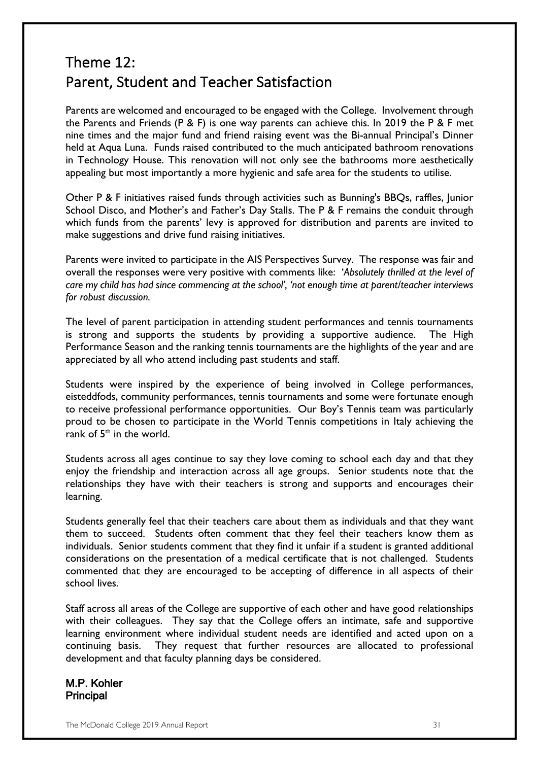### Theme 12: Parent, Student and Teacher Satisfaction

Parents are welcomed and encouraged to be engaged with the College. Involvement through the Parents and Friends (P & F) is one way parents can achieve this. In 2019 the P & F met nine times and the major fund and friend raising event was the Bi-annual Principal's Dinner held at Aqua Luna. Funds raised contributed to the much anticipated bathroom renovations in Technology House. This renovation will not only see the bathrooms more aesthetically appealing but most importantly a more hygienic and safe area for the students to utilise.

Other P & F initiatives raised funds through activities such as Bunning's BBQs, raffles, Junior School Disco, and Mother's and Father's Day Stalls. The P & F remains the conduit through which funds from the parents' levy is approved for distribution and parents are invited to make suggestions and drive fund raising initiatives.

Parents were invited to participate in the AIS Perspectives Survey. The response was fair and overall the responses were very positive with comments like: '*Absolutely thrilled at the level of care my child has had since commencing at the school', 'not enough time at parent/teacher interviews for robust discussion.*

The level of parent participation in attending student performances and tennis tournaments is strong and supports the students by providing a supportive audience. The High Performance Season and the ranking tennis tournaments are the highlights of the year and are appreciated by all who attend including past students and staff.

Students were inspired by the experience of being involved in College performances, eisteddfods, community performances, tennis tournaments and some were fortunate enough to receive professional performance opportunities. Our Boy's Tennis team was particularly proud to be chosen to participate in the World Tennis competitions in Italy achieving the rank of  $5<sup>th</sup>$  in the world.

Students across all ages continue to say they love coming to school each day and that they enjoy the friendship and interaction across all age groups. Senior students note that the relationships they have with their teachers is strong and supports and encourages their learning.

Students generally feel that their teachers care about them as individuals and that they want them to succeed. Students often comment that they feel their teachers know them as individuals. Senior students comment that they find it unfair if a student is granted additional considerations on the presentation of a medical certificate that is not challenged. Students commented that they are encouraged to be accepting of difference in all aspects of their school lives.

Staff across all areas of the College are supportive of each other and have good relationships with their colleagues. They say that the College offers an intimate, safe and supportive learning environment where individual student needs are identified and acted upon on a continuing basis. They request that further resources are allocated to professional development and that faculty planning days be considered.

M.P. Kohler Principal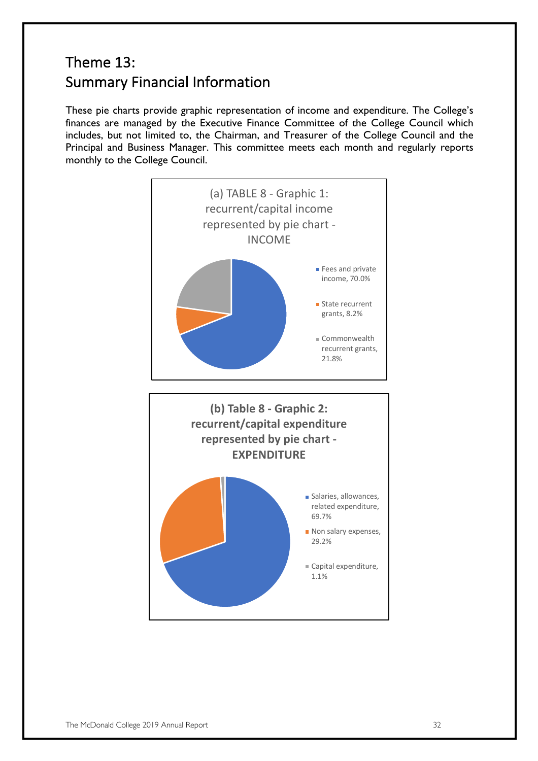### Theme 13: Summary Financial Information

These pie charts provide graphic representation of income and expenditure. The College's finances are managed by the Executive Finance Committee of the College Council which includes, but not limited to, the Chairman, and Treasurer of the College Council and the Principal and Business Manager. This committee meets each month and regularly reports monthly to the College Council.